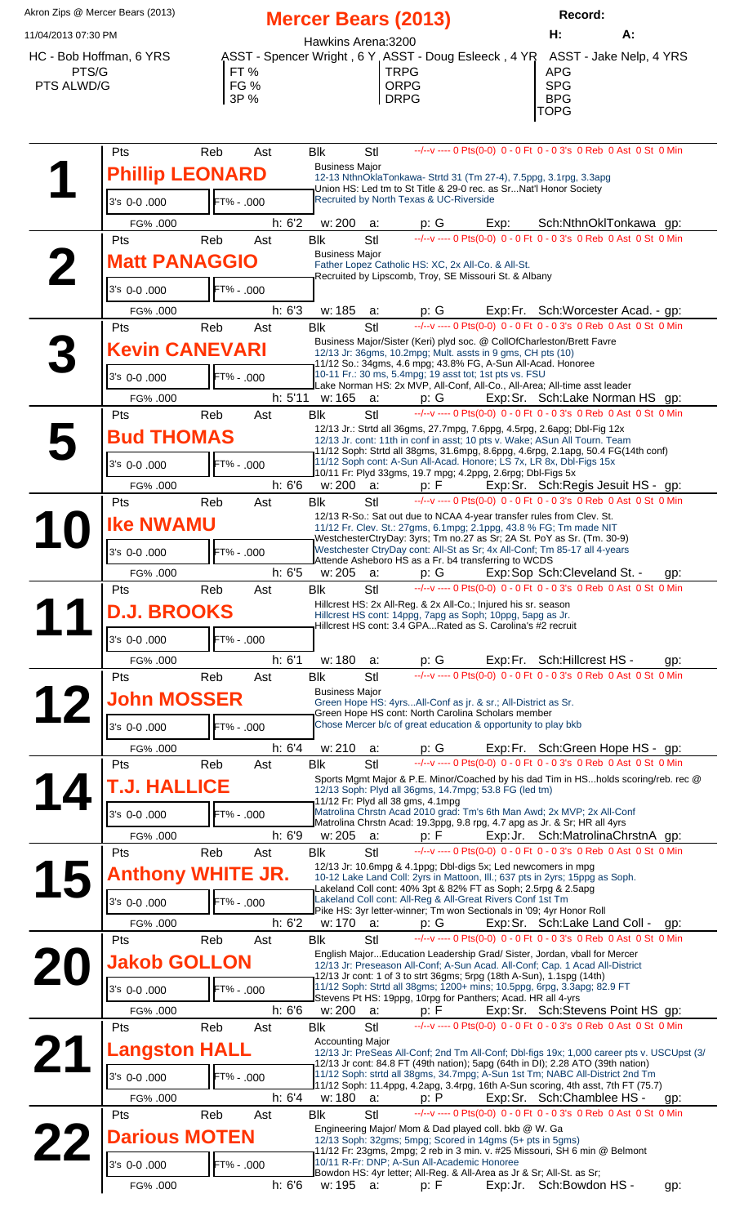Akron Zips @ Mercer Bears (2013) **Mercer Bears (2013) Record:** 11/04/2013 07:30 PM **H: A:** Hawkins Arena:3200 HC - Bob Hoffman, 6 YRS ASST - Spencer Wright , 6 Y ASST - Doug Esleeck , 4 YR ASST - Jake Nelp, 4 YRS PTS/G | FT % | TRPG | APG PTS ALWD/G FG % ORPG SPG DRPG TOPG

| Pts                      | Reb<br>Ast |        | <b>Blk</b><br><b>Business Major</b> | Stl        |                                                                                                                                             | --/--v ---- 0 Pts(0-0) 0 - 0 Ft 0 - 0 3's 0 Reb 0 Ast 0 St 0 Min                                                                                                                                                                                             |     |
|--------------------------|------------|--------|-------------------------------------|------------|---------------------------------------------------------------------------------------------------------------------------------------------|--------------------------------------------------------------------------------------------------------------------------------------------------------------------------------------------------------------------------------------------------------------|-----|
| <b>Phillip LEONARD</b>   |            |        |                                     |            | 12-13 NthnOklaTonkawa- Strtd 31 (Tm 27-4), 7.5ppg, 3.1rpg, 3.3apg                                                                           |                                                                                                                                                                                                                                                              |     |
|                          |            |        |                                     |            | Union HS: Led tm to St Title & 29-0 rec. as SrNat'l Honor Society<br>Recruited by North Texas & UC-Riverside                                |                                                                                                                                                                                                                                                              |     |
| 3's 0-0.000              | FT% - .000 |        |                                     |            |                                                                                                                                             |                                                                                                                                                                                                                                                              |     |
| FG% .000                 |            | h: 6'2 |                                     |            |                                                                                                                                             | w: 200 a: p: $G$ Exp: Sch: Nthn Okl Tonkawa gp:<br>Ik Stl $\frac{-\sqrt{-v} - 0 \text{ Pts}(0.0) - 0 \text{ Ft} (0.0 \text{ s}) \text{ St} (0.0 \text{ Reb} (0.0 \text{ s}) \text{ St} (0.0 \text{ Nth})}{0 \text{ Ast} (0.0 \text{ St} (0.0 \text{ Nth}))}$ |     |
| Pts                      | Reb<br>Ast |        | <b>Blk</b>                          | StI        |                                                                                                                                             |                                                                                                                                                                                                                                                              |     |
| <b>Matt PANAGGIO</b>     |            |        | <b>Business Major</b>               |            | Father Lopez Catholic HS: XC, 2x All-Co. & All-St.                                                                                          |                                                                                                                                                                                                                                                              |     |
|                          |            |        |                                     |            | Recruited by Lipscomb, Troy, SE Missouri St. & Albany                                                                                       |                                                                                                                                                                                                                                                              |     |
| 3's 0-0,000              | FT% - .000 |        |                                     |            |                                                                                                                                             |                                                                                                                                                                                                                                                              |     |
| FG% .000                 |            | h: 6'3 |                                     |            |                                                                                                                                             | w: 185 a: p: G Exp: Fr. Sch: Worcester Acad. - gp:<br>Ik Stl --/--v ---- 0 Pts(0-0) 0 - 0 Ft 0 - 0 3's 0 Reb 0 Ast 0 St 0 Min                                                                                                                                |     |
| Pts                      | Reb<br>Ast |        | <b>Blk</b>                          | StI        |                                                                                                                                             |                                                                                                                                                                                                                                                              |     |
| <b>Kevin CANEVARI</b>    |            |        |                                     |            | Business Major/Sister (Keri) plyd soc. @ CollOfCharleston/Brett Favre<br>12/13 Jr: 36gms, 10.2mpg; Mult. assts in 9 gms, CH pts (10)        |                                                                                                                                                                                                                                                              |     |
|                          |            |        |                                     |            | 11/12 So.: 34gms, 4.6 mpg; 43.8% FG, A-Sun All-Acad. Honoree                                                                                |                                                                                                                                                                                                                                                              |     |
| 3's 0-0,000              | FT% - .000 |        |                                     |            | 10-11 Fr.: 30 ms, 5.4mpg; 19 asst tot; 1st pts vs. FSU                                                                                      | Lake Norman HS: 2x MVP, All-Conf, All-Co., All-Area; All-time asst leader                                                                                                                                                                                    |     |
| FG% .000                 |            |        |                                     |            |                                                                                                                                             | h: 5'11 w: 165 a: p: G Exp: Sr. Sch: Lake Norman HS gp:                                                                                                                                                                                                      |     |
| Pts                      | Reb<br>Ast |        | <b>Blk</b>                          | <b>Stl</b> |                                                                                                                                             | --/--v ---- 0 Pts(0-0) 0 - 0 Ft 0 - 0 3's 0 Reb 0 Ast 0 St 0 Min                                                                                                                                                                                             |     |
| <b>Bud THOMAS</b>        |            |        |                                     |            |                                                                                                                                             | 12/13 Jr.: Strtd all 36gms, 27.7mpg, 7.6ppg, 4.5rpg, 2.6apg; Dbl-Fig 12x<br>12/13 Jr. cont: 11th in conf in asst; 10 pts v. Wake; ASun All Tourn. Team                                                                                                       |     |
|                          |            |        |                                     |            |                                                                                                                                             | 11/12 Soph: Strtd all 38gms, 31.6mpg, 8.6ppg, 4.6rpg, 2.1apg, 50.4 FG(14th conf)                                                                                                                                                                             |     |
| 3's 0-0.000              | FT% - .000 |        |                                     |            | 11/12 Soph cont: A-Sun All-Acad. Honore; LS 7x, LR 8x, Dbl-Figs 15x<br>10/11 Fr: Plyd 33gms, 19.7 mpg; 4.2ppg, 2.6rpg; Dbl-Figs 5x          |                                                                                                                                                                                                                                                              |     |
| FG% .000                 |            | h: 6'6 |                                     |            |                                                                                                                                             | w: 200 a: p: F Exp: Sr. Sch: Regis Jesuit HS - gp:<br>Ik Stl --/--v---- 0 Pts(0-0) 0 - 0 Ft 0 - 0 3's 0 Reb 0 Ast 0 St 0 Min                                                                                                                                 |     |
| Pts                      | Reb<br>Ast |        | <b>Blk</b>                          | <b>Stl</b> |                                                                                                                                             |                                                                                                                                                                                                                                                              |     |
| <b>Ike NWAMU</b>         |            |        |                                     |            | 12/13 R-So.: Sat out due to NCAA 4-year transfer rules from Clev. St.<br>11/12 Fr. Clev. St.: 27gms, 6.1mpg; 2.1ppg, 43.8 % FG; Tm made NIT |                                                                                                                                                                                                                                                              |     |
|                          |            |        |                                     |            |                                                                                                                                             | WestchesterCtryDay: 3yrs; Tm no.27 as Sr; 2A St. PoY as Sr. (Tm. 30-9)                                                                                                                                                                                       |     |
| 3's 0-0,000              | FT% - .000 |        |                                     |            | Attende Asheboro HS as a Fr. b4 transferring to WCDS                                                                                        | Westchester CtryDay cont: All-St as Sr; 4x All-Conf; Tm 85-17 all 4-years                                                                                                                                                                                    |     |
| FG% .000                 |            | h: 6'5 |                                     |            |                                                                                                                                             | w: 205 a: p: G Exp: Sop Sch: Cleveland St. - gp:<br>Ik Stl --/--v ---- 0 Pts(0-0) 0 - 0 Ft 0 - 0 3's 0 Reb 0 Ast 0 St 0 Min                                                                                                                                  |     |
| Pts                      | Reb<br>Ast |        | <b>Blk</b>                          |            |                                                                                                                                             |                                                                                                                                                                                                                                                              |     |
| <b>D.J. BROOKS</b>       |            |        |                                     |            | Hillcrest HS: 2x All-Reg. & 2x All-Co.; Injured his sr. season<br>Hillcrest HS cont: 14ppg, 7apg as Soph; 10ppg, 5apg as Jr.                |                                                                                                                                                                                                                                                              |     |
|                          |            |        |                                     |            | Hillcrest HS cont: 3.4 GPARated as S. Carolina's #2 recruit                                                                                 |                                                                                                                                                                                                                                                              |     |
| 3's 0-0.000              | FT% - .000 |        |                                     |            |                                                                                                                                             |                                                                                                                                                                                                                                                              |     |
| FG% .000                 |            | h: 6'1 | w: 180                              | a:         |                                                                                                                                             | p: G Exp: Fr. Sch: Hillcrest HS - gp:<br>--/-v --- 0 Pts(0-0) 0 - 0 Ft 0 - 0 3's 0 Reb 0 Ast 0 St 0 Min                                                                                                                                                      |     |
| Pts                      | Reb<br>Ast |        | <b>Blk</b>                          | Stl        |                                                                                                                                             |                                                                                                                                                                                                                                                              |     |
| <b>John MOSSER</b>       |            |        | <b>Business Major</b>               |            | Green Hope HS: 4yrsAll-Conf as jr. & sr.; All-District as Sr.                                                                               |                                                                                                                                                                                                                                                              |     |
|                          |            |        |                                     |            | Green Hope HS cont: North Carolina Scholars member                                                                                          |                                                                                                                                                                                                                                                              |     |
| 3's 0-0.000              | FT% - .000 |        |                                     |            | Chose Mercer b/c of great education & opportunity to play bkb                                                                               |                                                                                                                                                                                                                                                              |     |
| FG% .000                 |            | h: 6'4 | w: 210                              | a:         |                                                                                                                                             | p: G Exp: Fr. Sch: Green Hope HS - gp:                                                                                                                                                                                                                       |     |
| Pts                      | Reb<br>Ast |        | <b>Blk</b>                          | Stl        |                                                                                                                                             | --/--v ---- 0 Pts(0-0) 0 - 0 Ft 0 - 0 3's 0 Reb 0 Ast 0 St 0 Min                                                                                                                                                                                             |     |
| <b>T.J. HALLICE</b>      |            |        |                                     |            | 12/13 Soph: Plyd all 36gms, 14.7mpg; 53.8 FG (led tm)                                                                                       | Sports Mgmt Major & P.E. Minor/Coached by his dad Tim in HSholds scoring/reb. rec @                                                                                                                                                                          |     |
|                          |            |        |                                     |            | 11/12 Fr: Plyd all 38 gms, 4.1mpg                                                                                                           |                                                                                                                                                                                                                                                              |     |
| 3's 0-0.000              | FT% - .000 |        |                                     |            |                                                                                                                                             | Matrolina Chrstn Acad 2010 grad: Tm's 6th Man Awd; 2x MVP; 2x All-Conf<br>Matrolina Chrstn Acad: 19.3ppg, 9.8 rpg, 4.7 apg as Jr. & Sr; HR all 4yrs                                                                                                          |     |
| FG% .000                 |            | h: 6'9 | w: 205                              | a:         | p: F                                                                                                                                        | Exp: Jr. Sch: Matrolina Chrstn A gp:                                                                                                                                                                                                                         |     |
| Pts                      | Reb<br>Ast |        | <b>Blk</b>                          | Stl        |                                                                                                                                             | --/--v ---- 0 Pts(0-0) 0 - 0 Ft 0 - 0 3's 0 Reb 0 Ast 0 St 0 Min                                                                                                                                                                                             |     |
| <b>Anthony WHITE JR.</b> |            |        |                                     |            | 12/13 Jr: 10.6mpg & 4.1ppg; Dbl-digs 5x; Led newcomers in mpg                                                                               | 10-12 Lake Land Coll: 2yrs in Mattoon, Ill.; 637 pts in 2yrs; 15ppg as Soph.                                                                                                                                                                                 |     |
|                          |            |        |                                     |            | Lakeland Coll cont: 40% 3pt & 82% FT as Soph; 2.5rpg & 2.5apg                                                                               |                                                                                                                                                                                                                                                              |     |
| 3's 0-0.000              | FT% - .000 |        |                                     |            | Lakeland Coll cont: All-Reg & All-Great Rivers Conf 1st Tm<br>Pike HS: 3yr letter-winner; Tm won Sectionals in '09; 4yr Honor Roll          |                                                                                                                                                                                                                                                              |     |
| FG% .000                 |            | h: 6'2 | w: 170                              | а:         | p: G                                                                                                                                        | Exp: Sr. Sch: Lake Land Coll -                                                                                                                                                                                                                               | gp: |
| Pts                      | Reb<br>Ast |        | <b>Blk</b>                          | Stl        |                                                                                                                                             | --/--v ---- 0 Pts(0-0) 0 - 0 Ft 0 - 0 3's 0 Reb 0 Ast 0 St 0 Min                                                                                                                                                                                             |     |
| <b>Jakob GOLLON</b>      |            |        |                                     |            |                                                                                                                                             | English MajorEducation Leadership Grad/ Sister, Jordan, vball for Mercer<br>12/13 Jr: Preseason All-Conf; A-Sun Acad. All-Conf; Cap. 1 Acad All-District                                                                                                     |     |
|                          |            |        |                                     |            | 12/13 Jr cont: 1 of 3 to strt 36gms; 5rpg (18th A-Sun), 1.1spg (14th)                                                                       |                                                                                                                                                                                                                                                              |     |
| 3's 0-0.000              | FT% - .000 |        |                                     |            | Stevens Pt HS: 19ppg, 10rpg for Panthers; Acad. HR all 4-yrs                                                                                | 11/12 Soph: Strtd all 38gms; 1200+ mins; 10.5ppg, 6rpg, 3.3apg; 82.9 FT                                                                                                                                                                                      |     |
| FG% .000                 |            | h: 6'6 | w: 200                              | a:         | p: F                                                                                                                                        | Exp: Sr. Sch: Stevens Point HS gp:                                                                                                                                                                                                                           |     |
| Pts                      | Reb<br>Ast |        | <b>Blk</b>                          | Stl        |                                                                                                                                             | --/--v ---- 0 Pts(0-0) 0 - 0 Ft 0 - 0 3's 0 Reb 0 Ast 0 St 0 Min                                                                                                                                                                                             |     |
| <b>Langston HALL</b>     |            |        | <b>Accounting Major</b>             |            |                                                                                                                                             | 12/13 Jr: PreSeas All-Conf; 2nd Tm All-Conf; Dbl-figs 19x; 1,000 career pts v. USCUpst (3/                                                                                                                                                                   |     |
|                          |            |        |                                     |            |                                                                                                                                             | 12/13 Jr cont: 84.8 FT (49th nation); 5apg (64th in DI); 2.28 ATO (39th nation)<br>11/12 Soph: strtd all 38gms, 34.7mpg; A-Sun 1st Tm; NABC All-District 2nd Tm                                                                                              |     |
| 3's 0-0.000              | FT% - .000 |        |                                     |            |                                                                                                                                             | 11/12 Soph: 11.4ppg, 4.2apg, 3.4rpg, 16th A-Sun scoring, 4th asst, 7th FT (75.7)                                                                                                                                                                             |     |
| FG% .000                 |            | h: 6'4 | w: 180                              | a:         | p: P                                                                                                                                        | Exp: Sr. Sch: Chamblee HS -                                                                                                                                                                                                                                  | gp: |
| Pts                      | Reb<br>Ast |        | <b>Blk</b>                          | Stl        |                                                                                                                                             | --/--v ---- 0 Pts(0-0) 0 - 0 Ft 0 - 0 3's 0 Reb 0 Ast 0 St 0 Min                                                                                                                                                                                             |     |
| <b>Darious MOTEN</b>     |            |        |                                     |            | Engineering Major/ Mom & Dad played coll. bkb @ W. Ga<br>12/13 Soph: 32gms; 5mpg; Scored in 14gms (5+ pts in 5gms)                          |                                                                                                                                                                                                                                                              |     |
|                          |            |        |                                     |            |                                                                                                                                             | 11/12 Fr: 23gms, 2mpg; 2 reb in 3 min. v. #25 Missouri, SH 6 min @ Belmont                                                                                                                                                                                   |     |
| 3's 0-0.000              | FT% - .000 |        |                                     |            | 10/11 R-Fr: DNP; A-Sun All-Academic Honoree<br>Bowdon HS: 4yr letter; All-Reg. & All-Area as Jr & Sr; All-St. as Sr;                        |                                                                                                                                                                                                                                                              |     |
| FG% .000                 |            | h: 6'6 | w: 195                              | a:         | p: F                                                                                                                                        | Exp: Jr. Sch: Bowdon HS -                                                                                                                                                                                                                                    | gp: |
|                          |            |        |                                     |            |                                                                                                                                             |                                                                                                                                                                                                                                                              |     |